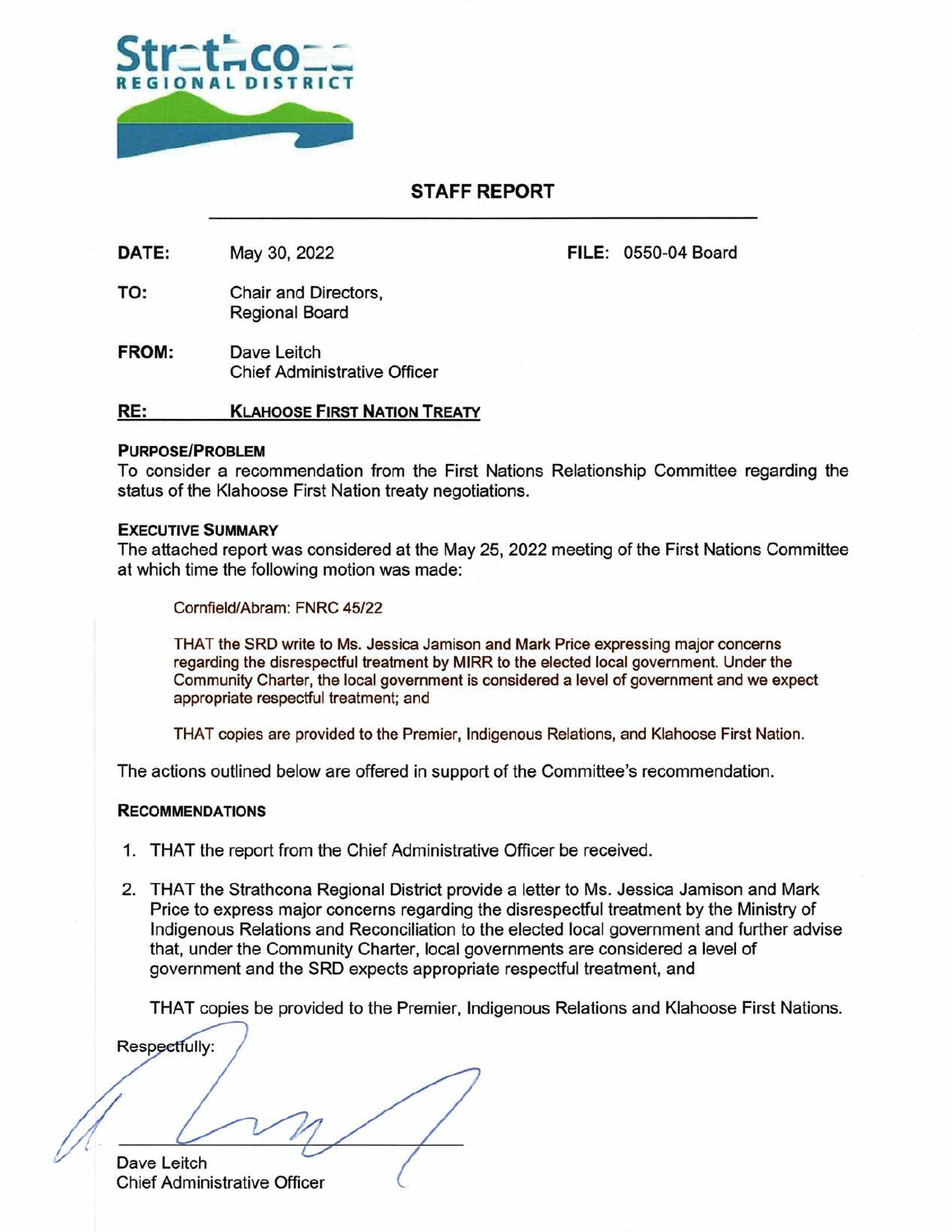

## **STAFF REPORT**

DATE: May 30, 2022 FILE: 0550-04 Board

- TO: Chair and Directors, Regional Board
- **FROM:** Dave Leitch Chief Administrative Officer

### **RE: KLAHOOSE FIRST NATION TREATY**

#### **PURPOSEIPROBLEM**

To consider a recommendation from the First Nations Relationship Committee regarding the status of the Klahoose First Nation treaty negotiations.

#### **EXECUTIVE SUMMARY**

The attached report was considered at the May 25, 2022 meeting of the First Nations Committee at which time the following motion was made:

Cornfield/Abram: FNRC 45/22

THAT the SRD write to Ms. Jessica Jamison and Mark Price expressing major concerns regarding the disrespectful treatment by MlRR to the elected local government. Under the Community Charter, the local government is considered a level of government and we expect appropriate respectful treatment; and

THAT copies are provided to the Premier, Indigenous Relations, and Kiahoose First Nation.

The actions outlined below are offered in support of the Committee's recommendation.

#### **RECOMMENDATIONS**

- 1. THAT the report from the Chief Administrative Officer be received.
- 2. THAT the Strathcona Regional District provide a letter to Ms. Jessica Jamison and Mark Price to express major concerns regarding the disrespectful treatment by the Ministry of Indigenous Relations and Reconciliation to the elected local government and further advise that, under the Community Charter, local governments are considered a level of government and the SRD expects appropriate respectful treatment, and

THAT copies be provided to the Premier, Indigenous Relations and Klahoose First Nations.

**Respectfully:** 

Dave Leitch Chief Administrative Officer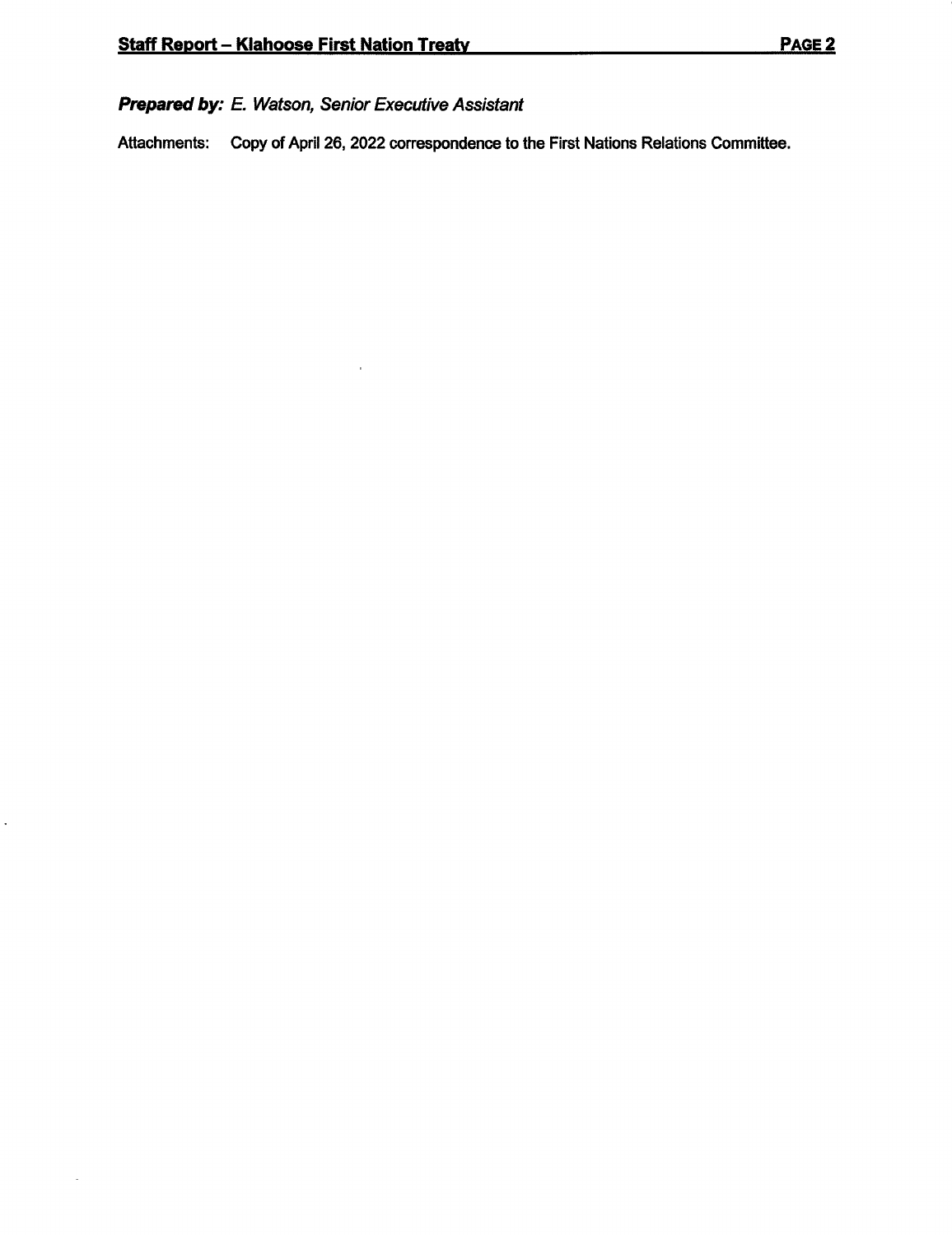Ļ,

# **Prepared by: E. Watson, Senior Executive Assistant**

**Attachments: Copy of April 26, 2022 correspondence to the First Nations Relations Committee.**